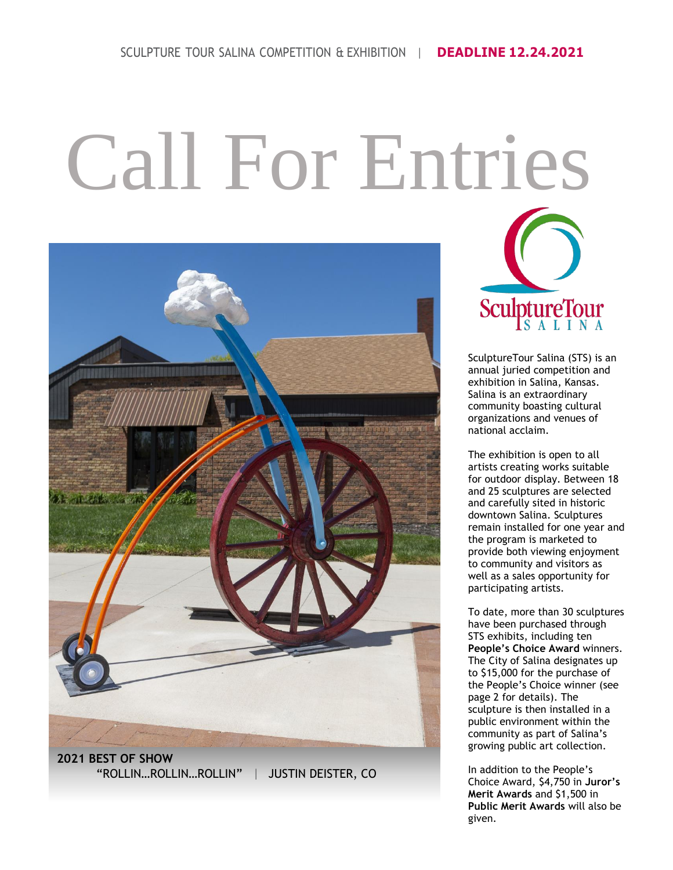# Call For Entries



**2021 BEST OF SHOW** "ROLLIN…ROLLIN…ROLLIN" | JUSTIN DEISTER, CO



SculptureTour Salina (STS) is an annual juried competition and exhibition in Salina, Kansas. Salina is an extraordinary community boasting cultural organizations and venues of national acclaim.

The exhibition is open to all artists creating works suitable for outdoor display. Between 18 and 25 sculptures are selected and carefully sited in historic downtown Salina. Sculptures remain installed for one year and the program is marketed to provide both viewing enjoyment to community and visitors as well as a sales opportunity for participating artists.

To date, more than 30 sculptures have been purchased through STS exhibits, including ten **People's Choice Award** winners. The City of Salina designates up to \$15,000 for the purchase of the People's Choice winner (see page 2 for details). The sculpture is then installed in a public environment within the community as part of Salina's growing public art collection.

In addition to the People's Choice Award, \$4,750 in **Juror's Merit Awards** and \$1,500 in **Public Merit Awards** will also be given.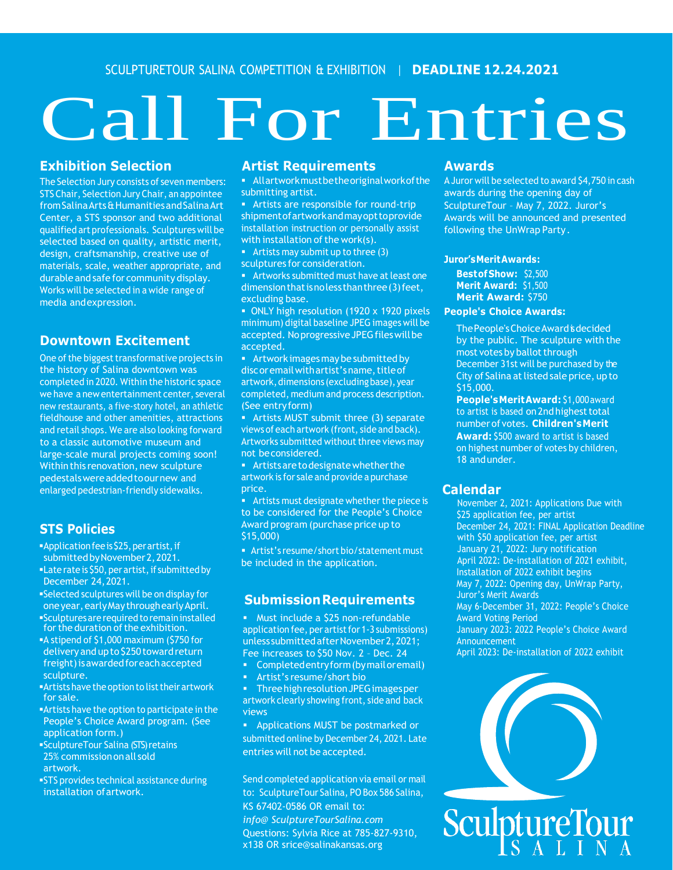SCULPTURETOUR SALINA COMPETITION & EXHIBITION | **DEADLINE 12.24.2021**

## Call For Entries

#### **Exhibition Selection**

The Selection Jury consists of seven members: STS Chair, Selection Jury Chair, an appointee fromSalinaArts&HumanitiesandSalinaArt Center, a STS sponsor and two additional qualified art professionals. Sculptureswill be selected based on quality, artistic merit, design, craftsmanship, creative use of materials, scale, weather appropriate, and durable and safe for community display. Works will be selected in a wide range of media andexpression.

#### **Downtown Excitement**

One of the biggest transformative projects in the history of Salina downtown was completed in 2020. Within the historic space we have a new entertainment center, several new restaurants, a five-story hotel, an athletic fieldhouse and other amenities, attractions and retail shops. We are also looking forward to a classic automotive museum and large-scale mural projects coming soon! Within this renovation, new sculpture pedestalswereaddedtoournew and enlarged pedestrian-friendly sidewalks.

#### **STS Policies**

- ▪Application fee is\$25, per artist, if submitted by November 2, 2021.
- **ELate rate is \$50, per artist, if submitted by** December 24, 2021.
- ▪Selected sculptures will be on display for one year, early May through early April.
- ▪Sculptures are required toremain installed for the duration of the exhibition.
- ▪A stipend of \$1,000 maximum (\$750 for delivery and up to \$250 toward return freight) isawarded for each accepted sculpture.
- **Artists have the option to list their artwork** for sale.
- ▪Artists have the option to participate in the People's Choice Award program. (See application form.)
- ▪SculptureTour Salina (STS) retains 25% commission onall sold artwork.
- **STS** provides technical assistance during installation of artwork.

#### **Artist Requirements**

▪ Allartworkmustbetheoriginalworkofthe submitting artist.

**EXECT:** Artists are responsible for round-trip shipmentofartworkandmayopttoprovide installation instruction or personally assist with installation of the work(s).

**•** Artists may submit up to three  $(3)$ sculptures for consideration.

**EXE** Artworks submitted must have at least one dimension that is no less than three (3) feet, excluding base.

**• ONLY high resolution (1920 x 1920 pixels** minimum) digital baseline JPEG images will be accepted. Noprogressive JPEG files will be accepted.

**EXECT:** Artwork images may be submitted by discoremail with artist's name, title of artwork, dimensions (excluding base), year completed, medium and process description. (See entryform)

**EXE** Artists MUST submit three (3) separate views of each artwork (front, side and back). Artworks submitted without three views may not beconsidered.

**EXTENS THE** Artists are to designate whether the artwork is for sale and provide a purchase price.

**E** Artists must designate whether the piece is to be considered for the People's Choice Award program (purchase price up to \$15,000)

■ Artist's resume/short bio/statement must be included in the application.

#### **SubmissionRequirements**

▪ Must include a \$25 non-refundable application fee, per artist for 1-3 submissions) unless submitted after November 2,2021; Fee increases to \$50 Nov. 2 – Dec. 24

▪ Completed entry form (by mail oremail)

Artist's resume/short bio

▪ Three high resolution JPEG images per artwork clearly showing front, side and back views

Applications MUST be postmarked or submitted online by December 24, 2021. Late entries will not be accepted.

Send completed application via email or mail to: SculptureTour Salina, PO Box 586 Salina, KS 67402-0586 OR email to: *info@ SculptureTourSalina.com* Questions: Sylvia Rice at 785-827-9310, x138 OR srice@salinakansas.org

#### **Awards**

A Juror will be selected to award \$4,750 in cash awards during the opening day of SculptureTour – May 7, 2022. Juror's Awards will be announced and presented following the UnWrap Party.

#### **Juror'sMeritAwards:**

**BestofShow:** \$2,500 **Merit Award:** \$1,500 **Merit Award:** \$750

#### **People's Choice Awards:**

The People's Choice Award is decided by the public. The sculpture with the most votes by ballot through December 31st will be purchased by the City of Salina at listed sale price, up to \$15,000.

**People'sMeritAward:** \$1,000award to artist is based on 2nd highest total numberof votes. **Children'sMerit Award:** \$500 award to artist is based on highest number of votes by children, 18 andunder.

#### **Calendar**

November 2, 2021: Applications Due with \$25 application fee, per artist December 24, 2021: FINAL Application Deadline with \$50 application fee, per artist January 21, 2022: Jury notification April 2022: De-installation of 2021 exhibit, Installation of 2022 exhibit begins May 7, 2022: Opening day, UnWrap Party, Juror's Merit Awards May 6-December 31, 2022: People's Choice Award Voting Period January 2023: 2022 People's Choice Award Announcement April 2023: De-installation of 2022 exhibit